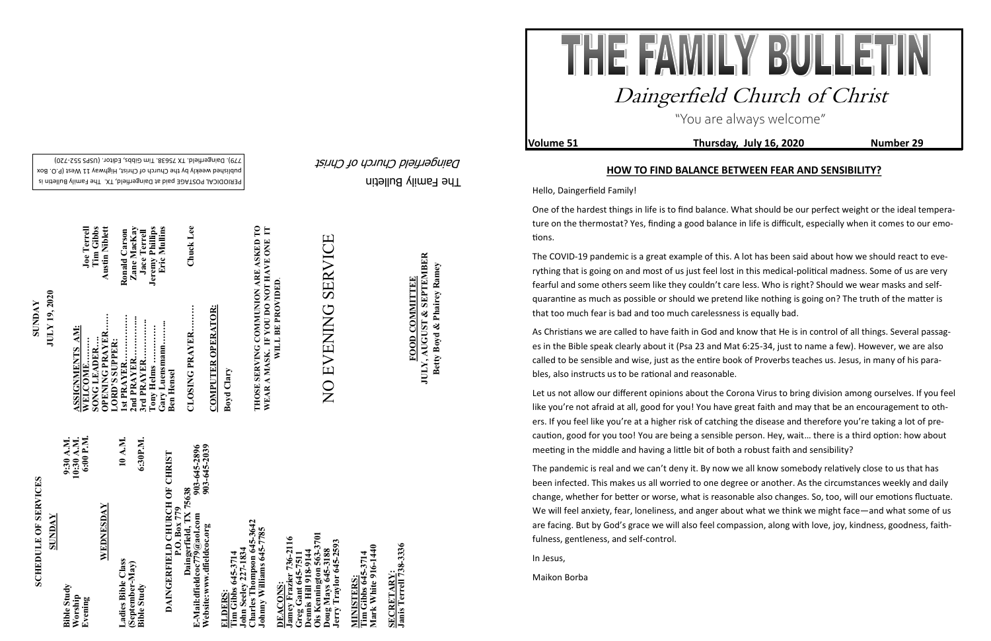The Family Bulletin

Daingerfield Church of Christ

## **SCHEDULE OF SERVICES SCHEDULE OF SERVICES**

PERIODICAL POSTAGE paid at Daingerfield, TX. The Family Bulletin is published weekly by the Church of Christ, Highway 11 West (P.O. Box 720) - 779). Daingerfield. TX 75638. Tim Gibbs, Editor. (USPS 552

903-645-2896<br>903-645-2039 **Website:www.dfieldcoc.org 903-645-2039 E-Mail:dfieldcoc779@aol.com 903-645-2896 DAINGERFIELD CHURCH OF CHRIST**<br> **P.O. Box 779**<br> **Daingerfield, TX 75638**<br> **E-Mail:dfieldcoc779@aol.com**<br> **Website:www.dfieldcoc.org**<br> **903-645-289 DAINGERFIELD CHURCH OF CHRIST Daingerfield, TX 75638**

**ELDERS:**<br>Tim Gibbs 645-3714<br>John Seeley 227-1834<br>Charles Thompson 645-3642<br>Johnny Williams 645-7785 **John Seeley 227-1834 Charles Thompson 645-3642 Johnny Williams 645-7785** 

| <b>SUNDAY</b>                            |                                      |
|------------------------------------------|--------------------------------------|
| <b>Bible Study</b><br>Worship<br>Evening | 6:00 P.M.<br>9:30 A.M.<br>10:30 A.M. |
| WEDNESDAY                                |                                      |
| Ladies Bible Class                       | 10 A.M.                              |
| (September-May)<br><b>Bible Study</b>    | 6:30P.M.                             |

**Ois Kennington 563-3701** Jamey Frazier 736-2116<br>Greg Gant 645-7511<br>Dennis Hill 918-9144<br>Ois Kennington 563-3701<br>Doug Mays 645-3188<br>Jerry Traylor 645-2593 3701 **Jamey Frazier 736-2116**  ier 736-2116 **Jerry Traylor 645-2593 Greg Gant 645-7511 Dennis Hill 918-9144 Doug Mays 645-3188 DEACONS:**  DEACONS

**Tim Gibbs 645-3714**<br>Mark White 916-1440 **Mark White 916-1440 Tim Gibbs 645-3714 MINISTERS:** MINISTERS

SECRETARY:<br>Janis Terrell 738-3336 **Janis Terrell 738-3336 SECRETARY:**

 $\sum_{i=1}^{n} \sum_{j=1}^{n}$ 

**SUNDAY**<br>**JULY 19, 2020 JULY 19, 2020**

**Tim Gibbs 645-3714** 

**COMPUTER OPERATOR: COMPUTER OPERATOR:**

**JULY, AUGUST & SEPTEMBER**<br>Betty Boyd & Phairey Ramey **JULY, AUGUST & SEPTEMBER Betty Boyd & Phairey Ramey FOOD COMMITTEE FOOD COMMITTEE**

| Chuck Lee             | CLOSING PRAYER    |
|-----------------------|-------------------|
|                       | <b>Ben Hensel</b> |
| Eric Mullins          | Gary Luensmann    |
| Jeremy Phillips       | Tony Helms        |
| <b>Jace Terrell</b>   | 3rd PRAYER        |
| Zane MacKay           | 2nd PRAYER        |
| Ronald Carson         | 1st PRAYER        |
|                       | LORD'S SUPPER:    |
| <b>Austin Niblett</b> | OPENING PRAYER    |
| Tim Gibbs             | SONG LEADER       |
| <b>Joe Terrell</b>    | WELCOME           |
|                       | ASSIGNMENTS AM:   |

**Boyd Clary**

**THOSE SERVING COMMUNION ARE ASKED TO WEAR A MASK. IF YOU DO NOT HAVE ONE IT**  THOSE SERVING COMMUNION ARE ASKED TO<br>WEAR A MASK. IF YOU DO NOT HAVE ONE IT<br>WILL BE PROVIDED. **WILL BE PROVIDED**.

# SERVICE NO EVENING SERVICE NO EVENING

"You are always welcome"

**Volume 51 Thursday, July 16, 2020 Number 29**



## Daingerfield Church of Christ

## **HOW TO FIND BALANCE BETWEEN FEAR AND SENSIBILITY?**

Hello, Daingerfield Family!

One of the hardest things in life is to find balance. What should be our perfect weight or the ideal temperature on the thermostat? Yes, finding a good balance in life is difficult, especially when it comes to our emotions.

The COVID-19 pandemic is a great example of this. A lot has been said about how we should react to everything that is going on and most of us just feel lost in this medical-political madness. Some of us are very fearful and some others seem like they couldn't care less. Who is right? Should we wear masks and selfquarantine as much as possible or should we pretend like nothing is going on? The truth of the matter is that too much fear is bad and too much carelessness is equally bad.

As Christians we are called to have faith in God and know that He is in control of all things. Several passages in the Bible speak clearly about it (Psa 23 and Mat 6:25-34, just to name a few). However, we are also called to be sensible and wise, just as the entire book of Proverbs teaches us. Jesus, in many of his parables, also instructs us to be rational and reasonable.

Let us not allow our different opinions about the Corona Virus to bring division among ourselves. If you feel like you're not afraid at all, good for you! You have great faith and may that be an encouragement to others. If you feel like you're at a higher risk of catching the disease and therefore you're taking a lot of precaution, good for you too! You are being a sensible person. Hey, wait… there is a third option: how about meeting in the middle and having a little bit of both a robust faith and sensibility?

The pandemic is real and we can't deny it. By now we all know somebody relatively close to us that has been infected. This makes us all worried to one degree or another. As the circumstances weekly and daily change, whether for better or worse, what is reasonable also changes. So, too, will our emotions fluctuate. We will feel anxiety, fear, loneliness, and anger about what we think we might face—and what some of us are facing. But by God's grace we will also feel compassion, along with love, joy, kindness, goodness, faithfulness, gentleness, and self-control.

In Jesus,

Maikon Borba